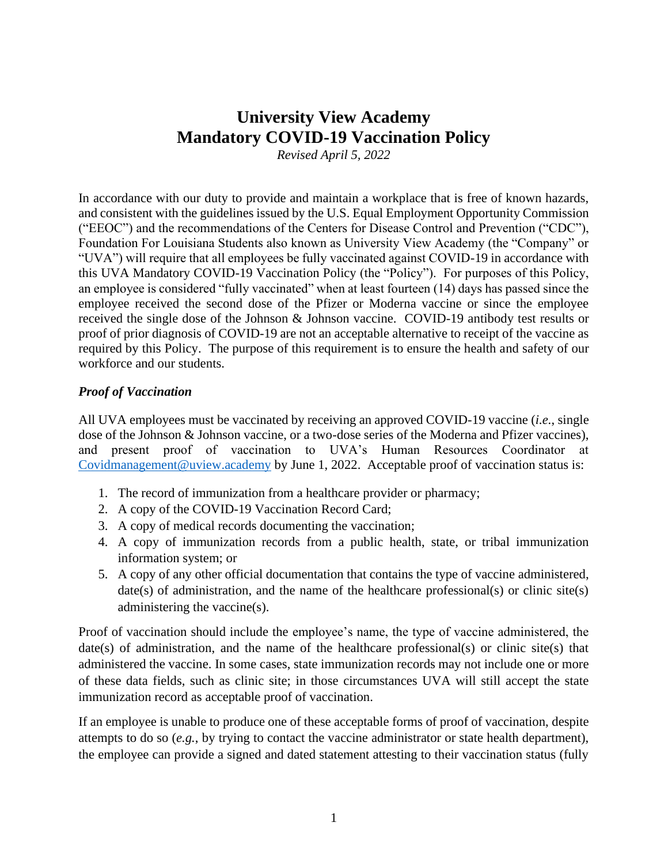# **University View Academy Mandatory COVID-19 Vaccination Policy**

*Revised April 5, 2022*

In accordance with our duty to provide and maintain a workplace that is free of known hazards, and consistent with the guidelines issued by the U.S. Equal Employment Opportunity Commission ("EEOC") and the recommendations of the Centers for Disease Control and Prevention ("CDC"), Foundation For Louisiana Students also known as University View Academy (the "Company" or "UVA") will require that all employees be fully vaccinated against COVID-19 in accordance with this UVA Mandatory COVID-19 Vaccination Policy (the "Policy"). For purposes of this Policy, an employee is considered "fully vaccinated" when at least fourteen (14) days has passed since the employee received the second dose of the Pfizer or Moderna vaccine or since the employee received the single dose of the Johnson & Johnson vaccine. COVID-19 antibody test results or proof of prior diagnosis of COVID-19 are not an acceptable alternative to receipt of the vaccine as required by this Policy. The purpose of this requirement is to ensure the health and safety of our workforce and our students.

## *Proof of Vaccination*

All UVA employees must be vaccinated by receiving an approved COVID-19 vaccine (*i.e.*, single dose of the Johnson & Johnson vaccine, or a two-dose series of the Moderna and Pfizer vaccines), and present proof of vaccination to UVA's Human Resources Coordinator at [Covidmanagement@uview.academy](mailto:Covidmanagement@uview.academy) by June 1, 2022. Acceptable proof of vaccination status is:

- 1. The record of immunization from a healthcare provider or pharmacy;
- 2. A copy of the COVID-19 Vaccination Record Card;
- 3. A copy of medical records documenting the vaccination;
- 4. A copy of immunization records from a public health, state, or tribal immunization information system; or
- 5. A copy of any other official documentation that contains the type of vaccine administered, date(s) of administration, and the name of the healthcare professional(s) or clinic site(s) administering the vaccine(s).

Proof of vaccination should include the employee's name, the type of vaccine administered, the date(s) of administration, and the name of the healthcare professional(s) or clinic site(s) that administered the vaccine. In some cases, state immunization records may not include one or more of these data fields, such as clinic site; in those circumstances UVA will still accept the state immunization record as acceptable proof of vaccination.

If an employee is unable to produce one of these acceptable forms of proof of vaccination, despite attempts to do so (*e.g.*, by trying to contact the vaccine administrator or state health department), the employee can provide a signed and dated statement attesting to their vaccination status (fully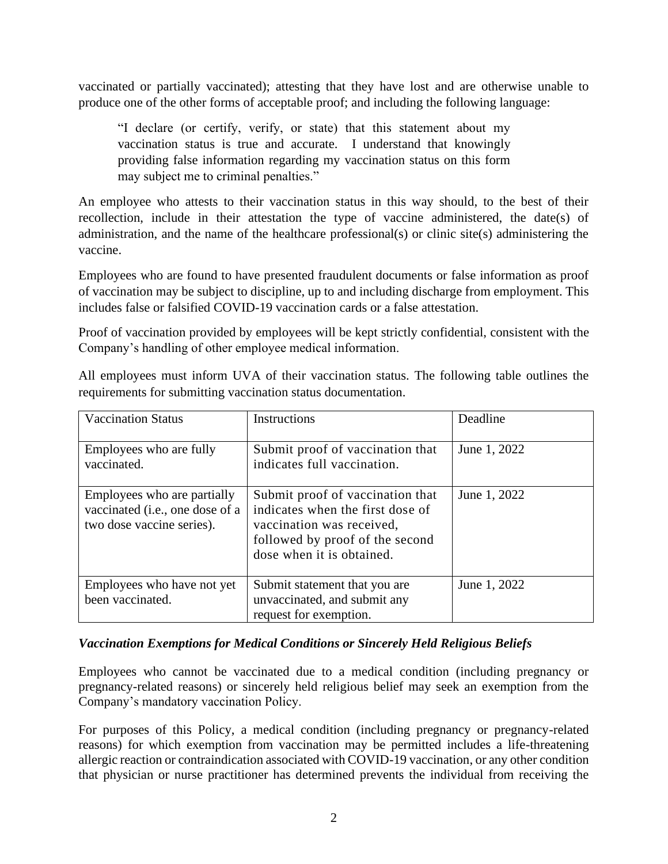vaccinated or partially vaccinated); attesting that they have lost and are otherwise unable to produce one of the other forms of acceptable proof; and including the following language:

"I declare (or certify, verify, or state) that this statement about my vaccination status is true and accurate. I understand that knowingly providing false information regarding my vaccination status on this form may subject me to criminal penalties."

An employee who attests to their vaccination status in this way should, to the best of their recollection, include in their attestation the type of vaccine administered, the date(s) of administration, and the name of the healthcare professional(s) or clinic site(s) administering the vaccine.

Employees who are found to have presented fraudulent documents or false information as proof of vaccination may be subject to discipline, up to and including discharge from employment. This includes false or falsified COVID-19 vaccination cards or a false attestation.

Proof of vaccination provided by employees will be kept strictly confidential, consistent with the Company's handling of other employee medical information.

| <b>Vaccination Status</b>                                                                   | Instructions                                                                                                                                                      | Deadline     |
|---------------------------------------------------------------------------------------------|-------------------------------------------------------------------------------------------------------------------------------------------------------------------|--------------|
| Employees who are fully<br>vaccinated.                                                      | Submit proof of vaccination that<br>indicates full vaccination.                                                                                                   | June 1, 2022 |
| Employees who are partially<br>vaccinated (i.e., one dose of a<br>two dose vaccine series). | Submit proof of vaccination that<br>indicates when the first dose of<br>vaccination was received,<br>followed by proof of the second<br>dose when it is obtained. | June 1, 2022 |
| Employees who have not yet<br>been vaccinated.                                              | Submit statement that you are<br>unvaccinated, and submit any<br>request for exemption.                                                                           | June 1, 2022 |

All employees must inform UVA of their vaccination status. The following table outlines the requirements for submitting vaccination status documentation.

## *Vaccination Exemptions for Medical Conditions or Sincerely Held Religious Beliefs*

Employees who cannot be vaccinated due to a medical condition (including pregnancy or pregnancy-related reasons) or sincerely held religious belief may seek an exemption from the Company's mandatory vaccination Policy.

For purposes of this Policy, a medical condition (including pregnancy or pregnancy-related reasons) for which exemption from vaccination may be permitted includes a life-threatening allergic reaction or contraindication associated with COVID-19 vaccination, or any other condition that physician or nurse practitioner has determined prevents the individual from receiving the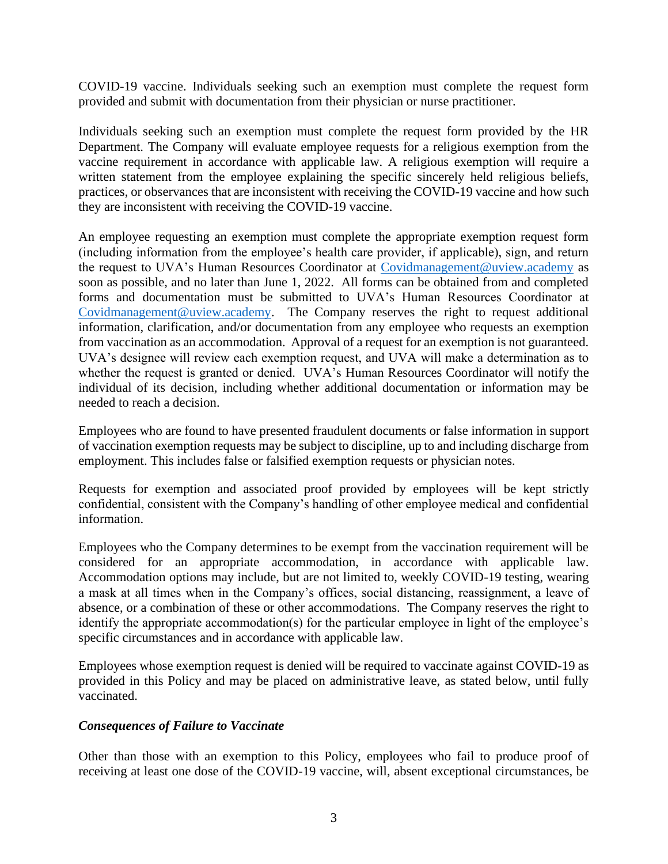COVID-19 vaccine. Individuals seeking such an exemption must complete the request form provided and submit with documentation from their physician or nurse practitioner.

Individuals seeking such an exemption must complete the request form provided by the HR Department. The Company will evaluate employee requests for a religious exemption from the vaccine requirement in accordance with applicable law. A religious exemption will require a written statement from the employee explaining the specific sincerely held religious beliefs, practices, or observances that are inconsistent with receiving the COVID-19 vaccine and how such they are inconsistent with receiving the COVID-19 vaccine.

An employee requesting an exemption must complete the appropriate exemption request form (including information from the employee's health care provider, if applicable), sign, and return the request to UVA's Human Resources Coordinator at [Covidmanagement@uview.academy](mailto:Covidmanagement@uview.academy) as soon as possible, and no later than June 1, 2022. All forms can be obtained from and completed forms and documentation must be submitted to UVA's Human Resources Coordinator at [Covidmanagement@uview.academy.](mailto:Covidmanagement@uview.academy) The Company reserves the right to request additional information, clarification, and/or documentation from any employee who requests an exemption from vaccination as an accommodation. Approval of a request for an exemption is not guaranteed. UVA's designee will review each exemption request, and UVA will make a determination as to whether the request is granted or denied. UVA's Human Resources Coordinator will notify the individual of its decision, including whether additional documentation or information may be needed to reach a decision.

Employees who are found to have presented fraudulent documents or false information in support of vaccination exemption requests may be subject to discipline, up to and including discharge from employment. This includes false or falsified exemption requests or physician notes.

Requests for exemption and associated proof provided by employees will be kept strictly confidential, consistent with the Company's handling of other employee medical and confidential information.

Employees who the Company determines to be exempt from the vaccination requirement will be considered for an appropriate accommodation, in accordance with applicable law. Accommodation options may include, but are not limited to, weekly COVID-19 testing, wearing a mask at all times when in the Company's offices, social distancing, reassignment, a leave of absence, or a combination of these or other accommodations. The Company reserves the right to identify the appropriate accommodation(s) for the particular employee in light of the employee's specific circumstances and in accordance with applicable law.

Employees whose exemption request is denied will be required to vaccinate against COVID-19 as provided in this Policy and may be placed on administrative leave, as stated below, until fully vaccinated.

## *Consequences of Failure to Vaccinate*

Other than those with an exemption to this Policy, employees who fail to produce proof of receiving at least one dose of the COVID-19 vaccine, will, absent exceptional circumstances, be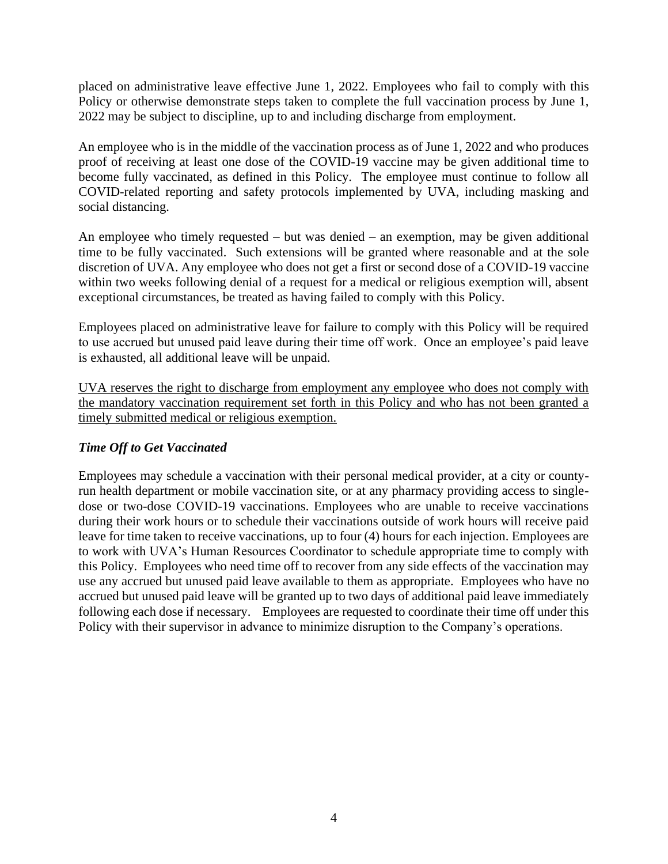placed on administrative leave effective June 1, 2022. Employees who fail to comply with this Policy or otherwise demonstrate steps taken to complete the full vaccination process by June 1, 2022 may be subject to discipline, up to and including discharge from employment.

An employee who is in the middle of the vaccination process as of June 1, 2022 and who produces proof of receiving at least one dose of the COVID-19 vaccine may be given additional time to become fully vaccinated, as defined in this Policy. The employee must continue to follow all COVID-related reporting and safety protocols implemented by UVA, including masking and social distancing.

An employee who timely requested – but was denied – an exemption, may be given additional time to be fully vaccinated. Such extensions will be granted where reasonable and at the sole discretion of UVA. Any employee who does not get a first or second dose of a COVID-19 vaccine within two weeks following denial of a request for a medical or religious exemption will, absent exceptional circumstances, be treated as having failed to comply with this Policy.

Employees placed on administrative leave for failure to comply with this Policy will be required to use accrued but unused paid leave during their time off work. Once an employee's paid leave is exhausted, all additional leave will be unpaid.

UVA reserves the right to discharge from employment any employee who does not comply with the mandatory vaccination requirement set forth in this Policy and who has not been granted a timely submitted medical or religious exemption.

# *Time Off to Get Vaccinated*

Employees may schedule a vaccination with their personal medical provider, at a city or countyrun health department or mobile vaccination site, or at any pharmacy providing access to singledose or two-dose COVID-19 vaccinations. Employees who are unable to receive vaccinations during their work hours or to schedule their vaccinations outside of work hours will receive paid leave for time taken to receive vaccinations, up to four (4) hours for each injection. Employees are to work with UVA's Human Resources Coordinator to schedule appropriate time to comply with this Policy. Employees who need time off to recover from any side effects of the vaccination may use any accrued but unused paid leave available to them as appropriate. Employees who have no accrued but unused paid leave will be granted up to two days of additional paid leave immediately following each dose if necessary. Employees are requested to coordinate their time off under this Policy with their supervisor in advance to minimize disruption to the Company's operations.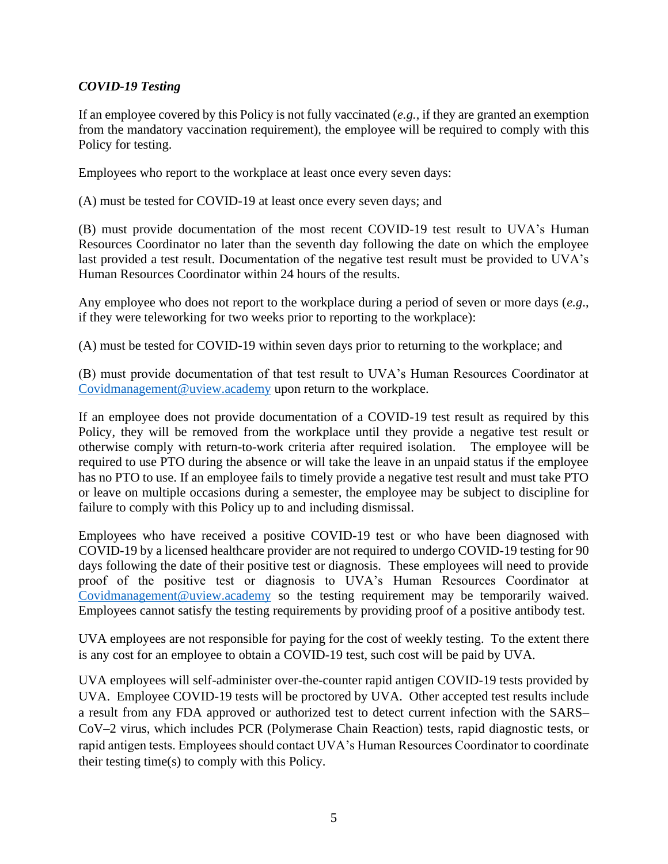# *COVID-19 Testing*

If an employee covered by this Policy is not fully vaccinated (*e.g.*, if they are granted an exemption from the mandatory vaccination requirement), the employee will be required to comply with this Policy for testing.

Employees who report to the workplace at least once every seven days:

(A) must be tested for COVID-19 at least once every seven days; and

(B) must provide documentation of the most recent COVID-19 test result to UVA's Human Resources Coordinator no later than the seventh day following the date on which the employee last provided a test result. Documentation of the negative test result must be provided to UVA's Human Resources Coordinator within 24 hours of the results.

Any employee who does not report to the workplace during a period of seven or more days (*e.g*., if they were teleworking for two weeks prior to reporting to the workplace):

(A) must be tested for COVID-19 within seven days prior to returning to the workplace; and

(B) must provide documentation of that test result to UVA's Human Resources Coordinator at [Covidmanagement@uview.academy](mailto:Covidmanagement@uview.academy) upon return to the workplace.

If an employee does not provide documentation of a COVID-19 test result as required by this Policy, they will be removed from the workplace until they provide a negative test result or otherwise comply with return-to-work criteria after required isolation. The employee will be required to use PTO during the absence or will take the leave in an unpaid status if the employee has no PTO to use. If an employee fails to timely provide a negative test result and must take PTO or leave on multiple occasions during a semester, the employee may be subject to discipline for failure to comply with this Policy up to and including dismissal.

Employees who have received a positive COVID-19 test or who have been diagnosed with COVID-19 by a licensed healthcare provider are not required to undergo COVID-19 testing for 90 days following the date of their positive test or diagnosis. These employees will need to provide proof of the positive test or diagnosis to UVA's Human Resources Coordinator at [Covidmanagement@uview.academy](mailto:Covidmanagement@uview.academy) so the testing requirement may be temporarily waived. Employees cannot satisfy the testing requirements by providing proof of a positive antibody test.

UVA employees are not responsible for paying for the cost of weekly testing. To the extent there is any cost for an employee to obtain a COVID-19 test, such cost will be paid by UVA.

UVA employees will self-administer over-the-counter rapid antigen COVID-19 tests provided by UVA. Employee COVID-19 tests will be proctored by UVA. Other accepted test results include a result from any FDA approved or authorized test to detect current infection with the SARS– CoV–2 virus, which includes PCR (Polymerase Chain Reaction) tests, rapid diagnostic tests, or rapid antigen tests. Employees should contact UVA's Human Resources Coordinator to coordinate their testing time(s) to comply with this Policy.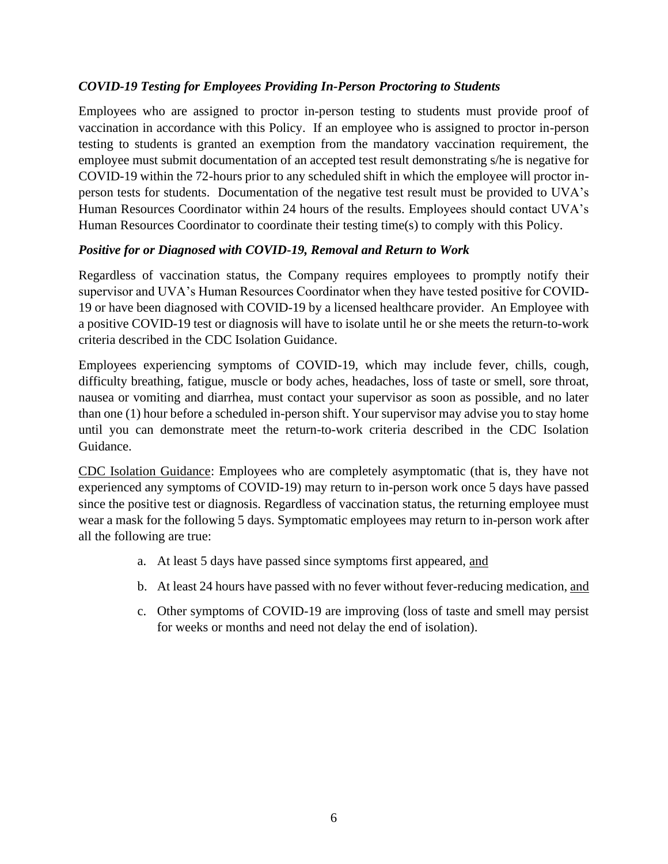# *COVID-19 Testing for Employees Providing In-Person Proctoring to Students*

Employees who are assigned to proctor in-person testing to students must provide proof of vaccination in accordance with this Policy. If an employee who is assigned to proctor in-person testing to students is granted an exemption from the mandatory vaccination requirement, the employee must submit documentation of an accepted test result demonstrating s/he is negative for COVID-19 within the 72-hours prior to any scheduled shift in which the employee will proctor inperson tests for students. Documentation of the negative test result must be provided to UVA's Human Resources Coordinator within 24 hours of the results. Employees should contact UVA's Human Resources Coordinator to coordinate their testing time(s) to comply with this Policy.

# *Positive for or Diagnosed with COVID-19, Removal and Return to Work*

Regardless of vaccination status, the Company requires employees to promptly notify their supervisor and UVA's Human Resources Coordinator when they have tested positive for COVID-19 or have been diagnosed with COVID-19 by a licensed healthcare provider. An Employee with a positive COVID-19 test or diagnosis will have to isolate until he or she meets the return-to-work criteria described in the CDC Isolation Guidance.

Employees experiencing symptoms of COVID-19, which may include fever, chills, cough, difficulty breathing, fatigue, muscle or body aches, headaches, loss of taste or smell, sore throat, nausea or vomiting and diarrhea, must contact your supervisor as soon as possible, and no later than one (1) hour before a scheduled in-person shift. Your supervisor may advise you to stay home until you can demonstrate meet the return-to-work criteria described in the CDC Isolation Guidance.

CDC Isolation Guidance: Employees who are completely asymptomatic (that is, they have not experienced any symptoms of COVID-19) may return to in-person work once 5 days have passed since the positive test or diagnosis. Regardless of vaccination status, the returning employee must wear a mask for the following 5 days. Symptomatic employees may return to in-person work after all the following are true:

- a. At least 5 days have passed since symptoms first appeared, and
- b. At least 24 hours have passed with no fever without fever-reducing medication, and
- c. Other symptoms of COVID-19 are improving (loss of taste and smell may persist for weeks or months and need not delay the end of isolation).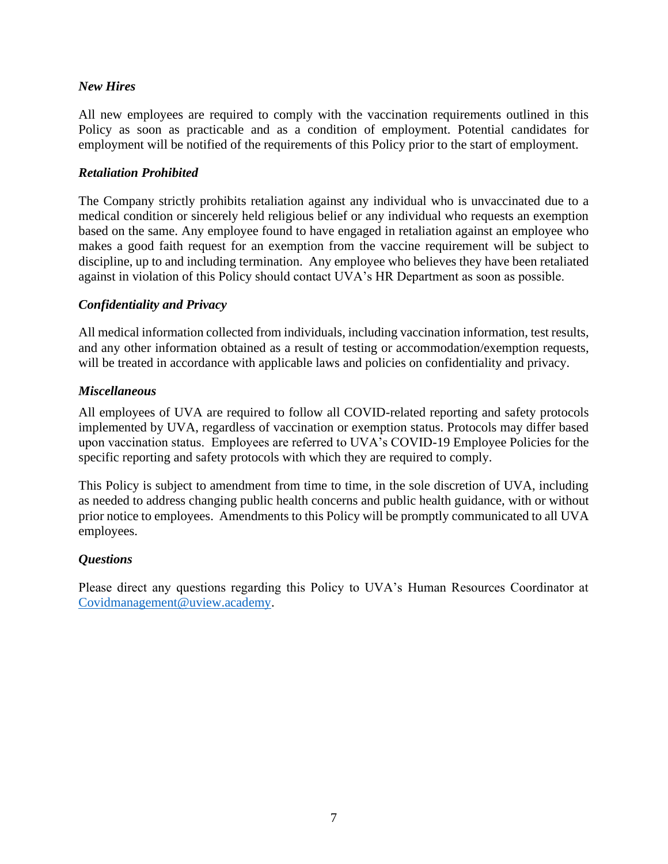# *New Hires*

All new employees are required to comply with the vaccination requirements outlined in this Policy as soon as practicable and as a condition of employment. Potential candidates for employment will be notified of the requirements of this Policy prior to the start of employment.

## *Retaliation Prohibited*

The Company strictly prohibits retaliation against any individual who is unvaccinated due to a medical condition or sincerely held religious belief or any individual who requests an exemption based on the same. Any employee found to have engaged in retaliation against an employee who makes a good faith request for an exemption from the vaccine requirement will be subject to discipline, up to and including termination. Any employee who believes they have been retaliated against in violation of this Policy should contact UVA's HR Department as soon as possible.

## *Confidentiality and Privacy*

All medical information collected from individuals, including vaccination information, test results, and any other information obtained as a result of testing or accommodation/exemption requests, will be treated in accordance with applicable laws and policies on confidentiality and privacy.

## *Miscellaneous*

All employees of UVA are required to follow all COVID-related reporting and safety protocols implemented by UVA, regardless of vaccination or exemption status. Protocols may differ based upon vaccination status. Employees are referred to UVA's COVID-19 Employee Policies for the specific reporting and safety protocols with which they are required to comply.

This Policy is subject to amendment from time to time, in the sole discretion of UVA, including as needed to address changing public health concerns and public health guidance, with or without prior notice to employees. Amendments to this Policy will be promptly communicated to all UVA employees.

## *Questions*

Please direct any questions regarding this Policy to UVA's Human Resources Coordinator at [Covidmanagement@uview.academy.](mailto:Covidmanagement@uview.academy)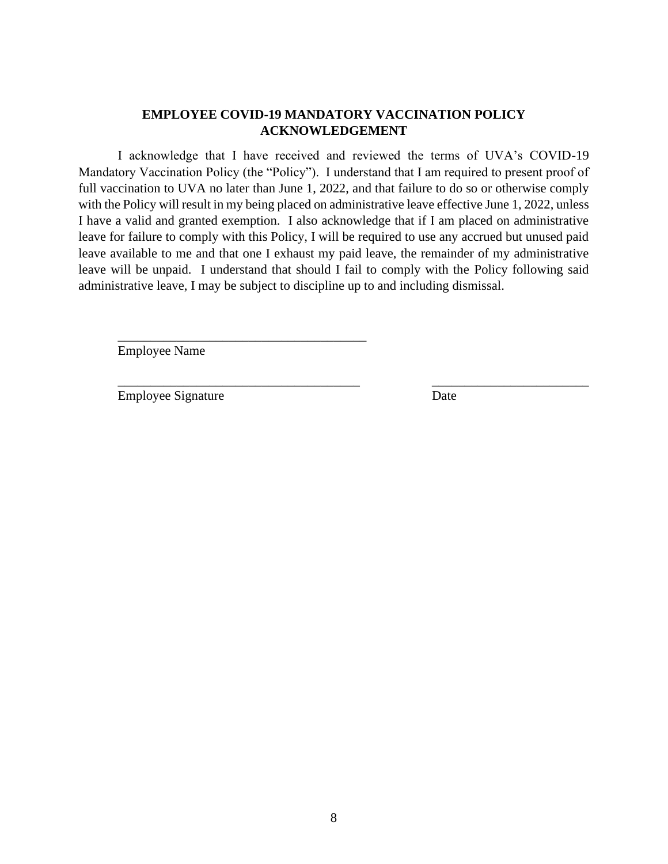## **EMPLOYEE COVID-19 MANDATORY VACCINATION POLICY ACKNOWLEDGEMENT**

I acknowledge that I have received and reviewed the terms of UVA's COVID-19 Mandatory Vaccination Policy (the "Policy"). I understand that I am required to present proof of full vaccination to UVA no later than June 1, 2022, and that failure to do so or otherwise comply with the Policy will result in my being placed on administrative leave effective June 1, 2022, unless I have a valid and granted exemption. I also acknowledge that if I am placed on administrative leave for failure to comply with this Policy, I will be required to use any accrued but unused paid leave available to me and that one I exhaust my paid leave, the remainder of my administrative leave will be unpaid. I understand that should I fail to comply with the Policy following said administrative leave, I may be subject to discipline up to and including dismissal.

\_\_\_\_\_\_\_\_\_\_\_\_\_\_\_\_\_\_\_\_\_\_\_\_\_\_\_\_\_\_\_\_\_\_\_\_\_ \_\_\_\_\_\_\_\_\_\_\_\_\_\_\_\_\_\_\_\_\_\_\_\_

Employee Name

\_\_\_\_\_\_\_\_\_\_\_\_\_\_\_\_\_\_\_\_\_\_\_\_\_\_\_\_\_\_\_\_\_\_\_\_\_\_

Employee Signature Date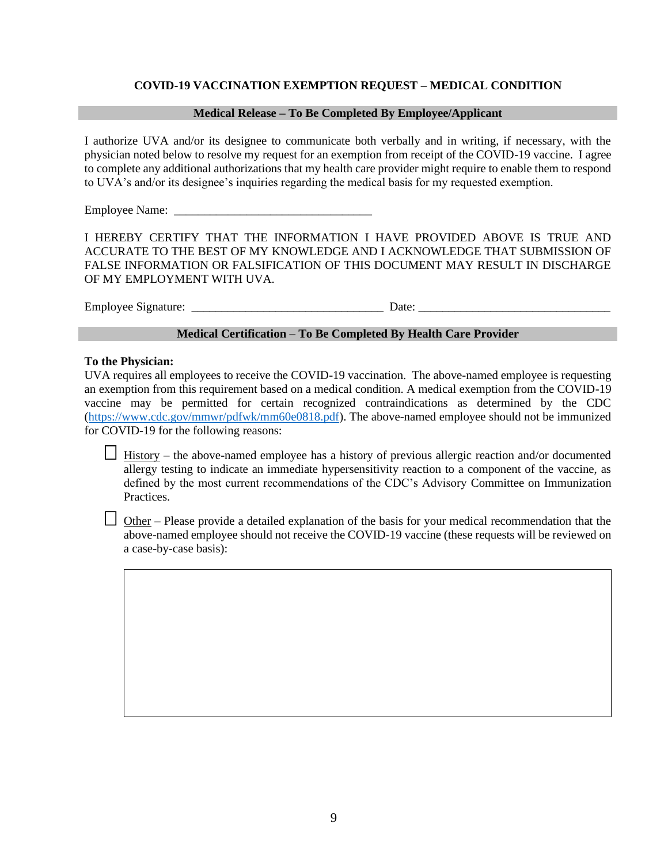#### **COVID-19 VACCINATION EXEMPTION REQUEST – MEDICAL CONDITION**

#### **Medical Release – To Be Completed By Employee/Applicant**

I authorize UVA and/or its designee to communicate both verbally and in writing, if necessary, with the physician noted below to resolve my request for an exemption from receipt of the COVID-19 vaccine. I agree to complete any additional authorizations that my health care provider might require to enable them to respond to UVA's and/or its designee's inquiries regarding the medical basis for my requested exemption.

Employee Name:

I HEREBY CERTIFY THAT THE INFORMATION I HAVE PROVIDED ABOVE IS TRUE AND ACCURATE TO THE BEST OF MY KNOWLEDGE AND I ACKNOWLEDGE THAT SUBMISSION OF FALSE INFORMATION OR FALSIFICATION OF THIS DOCUMENT MAY RESULT IN DISCHARGE OF MY EMPLOYMENT WITH UVA.

Employee Signature: \_\_\_\_\_\_\_\_\_\_\_\_\_\_\_\_\_\_\_\_\_\_\_\_\_\_\_\_\_\_\_\_ Date: \_\_\_\_\_\_\_\_\_\_\_\_\_\_\_\_\_\_\_\_\_\_\_\_\_\_\_\_\_\_\_\_

#### **Medical Certification – To Be Completed By Health Care Provider**

#### **To the Physician:**

UVA requires all employees to receive the COVID-19 vaccination. The above-named employee is requesting an exemption from this requirement based on a medical condition. A medical exemption from the COVID-19 vaccine may be permitted for certain recognized contraindications as determined by the CDC [\(https://www.cdc.gov/mmwr/pdfwk/mm60e0818.pdf\)](https://www.cdc.gov/mmwr/pdfwk/mm60e0818.pdf). The above-named employee should not be immunized for COVID-19 for the following reasons:

 $\Box$  History – the above-named employee has a history of previous allergic reaction and/or documented allergy testing to indicate an immediate hypersensitivity reaction to a component of the vaccine, as defined by the most current recommendations of the CDC's Advisory Committee on Immunization Practices.

 $\Box$  Other – Please provide a detailed explanation of the basis for your medical recommendation that the above-named employee should not receive the COVID-19 vaccine (these requests will be reviewed on a case-by-case basis):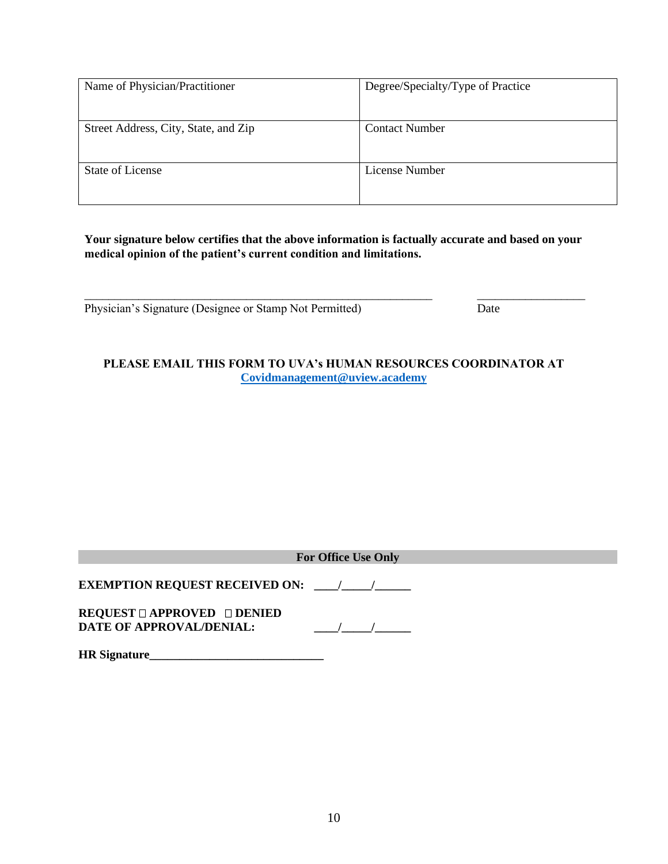| Name of Physician/Practitioner       | Degree/Specialty/Type of Practice |
|--------------------------------------|-----------------------------------|
| Street Address, City, State, and Zip | <b>Contact Number</b>             |
| <b>State of License</b>              | License Number                    |

**Your signature below certifies that the above information is factually accurate and based on your medical opinion of the patient's current condition and limitations.**

\_\_\_\_\_\_\_\_\_\_\_\_\_\_\_\_\_\_\_\_\_\_\_\_\_\_\_\_\_\_\_\_\_\_\_\_\_\_\_\_\_\_\_\_\_\_\_\_\_\_\_\_\_\_\_\_\_\_ \_\_\_\_\_\_\_\_\_\_\_\_\_\_\_\_\_\_

Physician's Signature (Designee or Stamp Not Permitted) Date

**PLEASE EMAIL THIS FORM TO UVA's HUMAN RESOURCES COORDINATOR AT [Covidmanagement@uview.academy](mailto:Covidmanagement@uview.academy)**

|                                                                 | <b>For Office Use Only</b> |  |
|-----------------------------------------------------------------|----------------------------|--|
|                                                                 |                            |  |
| $REQUEST \Box APPROVED \Box DENIED$<br>DATE OF APPROVAL/DENIAL: |                            |  |
| <b>HR</b> Signature                                             |                            |  |